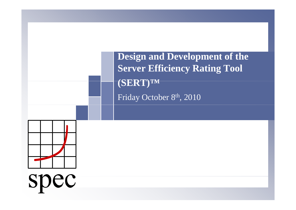**Design and Development of the the Server Efficiency Rating Tool (SERT)™** Friday October 8th, 2010



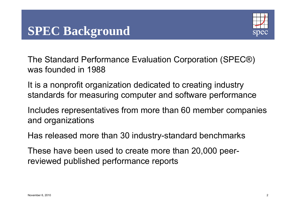

The Standard Performance Evaluation Corporation (SPEC®) was founded in 1988

It is a nonprofit organization dedicated to creating industry standards for measuring computer and software performance

Includes representatives from more than 60 member companies and organizations

Has released more than 30 industry-standard benchmarks

These have been used to create more than 20,000 peer reviewed published performance reports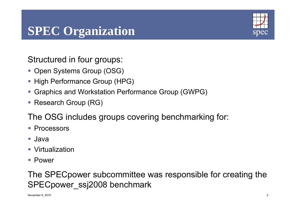# **SPEC Organization**



Structured in four groups:

- Open Systems Group (OSG)
- **High Performance Group (HPG)**
- Graphics and Workstation Performance Group (GWPG)
- Research Group (RG)

The OSG includes groups covering benchmarking for:

- **Processors**
- Java
- Virtualization
- Power

The SPECpower subcommittee was responsible for creating the SPECpower\_ssj2008 benchmark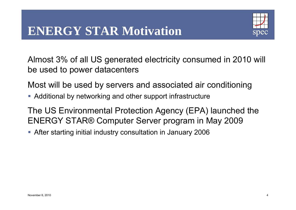## **ENERGY STAR Motivation**



Almost 3% of all US generated electricity consumed in 2010 will be used to power datacenters

Most will be used by servers and associated air conditioning

Additional by networking and other support infrastructure

The US Environmental Protection Agency (EPA) launched the ENERGY STAR® Computer Server program in May 2009

After starting initial industry consultation in January 2006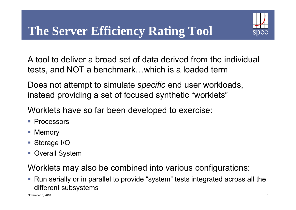

A tool to deliver a broad set of data derived from the individual tests, and NOT a benchmark…which is a loaded term

Does not attempt to simulate *specific* end user workloads, instead providing a set of focused synthetic "worklets"

Worklets have so far been developed to exercise:

- **Processors**
- **Memory**
- Storage I/O
- **Overall System**

Worklets may also be combined into various configurations:

 Run serially or in parallel to provide "system" tests integrated across all the different subsystems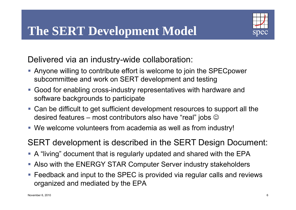

Delivered via an industry-wide collaboration:

- Anyone willing to contribute effort is welcome to join the SPECpower subcommittee and work on SERT development and testing
- Good for enabling cross-industry representatives with hardware and software backgrounds to participate
- Can be difficult to get sufficient development resources to support all the desired features – most contributors also have "real" jobs  $\mathbb{\odot}$
- We welcome volunteers from academia as well as from industry!

SERT development is described in the SERT Design Document:

- A "living" document that is regularly updated and shared with the EPA
- Also with the ENERGY STAR Computer Server industry stakeholders
- Feedback and input to the SPEC is provided via regular calls and reviews organized and mediated by the EPA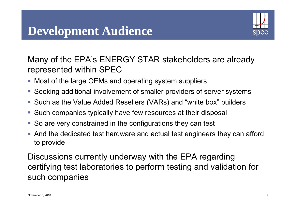## **Development Audience**



Many of the EPA's ENERGY STAR stakeholders are already represented within SPEC

- $\blacksquare$  Most of the large OEMs and operating system suppliers
- Seeking additional involvement of smaller providers of server systems
- Such as the Value Added Resellers (VARs) and "white box" builders
- Such companies typically have few resources at their disposal
- So are very constrained in the configurations they can test
- And the dedicated test hardware and actual test engineers they can afford to provide

Discussions currently underway with the EPA regarding certifying test laboratories to perform testing and validation for such companies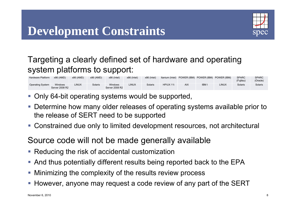## **Development Constraints**



### Targeting a clearly defined set of hardware and operating system platforms to support:

| Hardware Platform       | x86 (AMD)                 | x86 (AMD)    | x86 (AMD) | x86 (Intel)                      | x86 (Intel) | x86 (Intel) |           | Itanium (Intel) POWER (IBM) POWER (IBM) POWER (IBM) |              |       | <b>SPARC</b><br>(Fujitsu) | <b>SPARC</b><br>(Oracle) |
|-------------------------|---------------------------|--------------|-----------|----------------------------------|-------------|-------------|-----------|-----------------------------------------------------|--------------|-------|---------------------------|--------------------------|
| <b>Operating System</b> | Windows<br>Server 2008 R2 | <b>LINUX</b> | Solaris   | <b>Windows</b><br>Server 2008 R2 | LINUX       | Solaris     | HP/UX 11i | <b>AIX</b>                                          | <b>IBM I</b> | LINUX | Solaris                   | Solaris                  |

- **Only 64-bit operating systems would be supported,**
- Determine how many older releases of operating systems available prior to the release of SERT need to be supported
- Constrained due only to limited development resources, not architectural

#### Source code will not be made generally available

- **Reducing the risk of accidental customization**
- And thus potentially different results being reported back to the EPA
- Minimizing the complexity of the results review process
- **However, anyone may request a code review of any part of the SERT**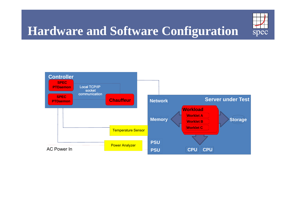

# **Hardware and Software Configuration**

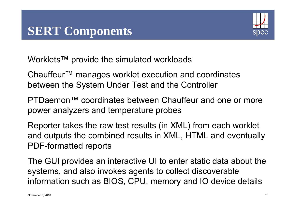

Worklets™ provide the simulated workloads

Chauffeur™ manages worklet execution and coordinates between the System Under Test and the Controlle r

PTDaemon™ coordinates between Chauffeur and one or more power analyzers and temperature probes

Reporter takes the raw test results (in XML) from each worklet and outputs the combined results in XML, HTML and eventually PDF-formatted reports

The GUI provides an interactive UI to enter static data about the systems, and also invokes agents to collect discoverable information such as BIOS, CPU, memory and IO device details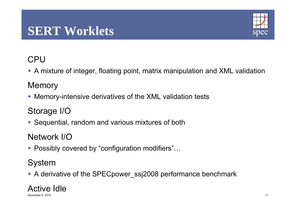## **SERT Worklets**



### **CPU**

A mixture of integer, floating point, matrix manipulation and XML validation

### **Memory**

Memory-intensive derivatives of the XML validation tests

### Storage I/O

Sequential, random and various mixtures of both

Network I/O

■ Possibly covered by "configuration modifiers"...

### System

A derivative of the SPECpower\_ssj2008 performance benchmark

## Active Idle

November 6, 2010 11 November 6, 2010 11 November 6, 2010 11 November 6, 2010 11 November 6, 2010 11 November 6, 2010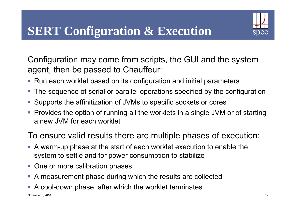

Configuration may come from scripts, the GUI and the system agent, then be passed to Chauffeur:

- Run each worklet based on its configuration and initial parameters
- The sequence of serial or parallel operations specified by the configuration
- Supports the affinitization of JVMs to specific sockets or cores
- Provides the option of running all the worklets in a single JVM or of starting a new JVM for each worklet

#### To ensure valid results there are multiple phases of execution:

- A warm-up phase at the start of each worklet execution to enable the system to settle and for power consumption to stabilize
- **One or more calibration phases**
- A measurement phase during which the results are collected
- A cool-down phase, after which the worklet terminates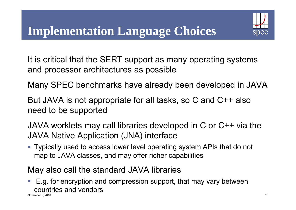

It is critical that the SERT support as many operating systems and processor architectures as possible

Many SPEC benchmarks have already been developed in JAV A

But JAVA is not appropriate for all tasks, so C and C++ also need to be supported

JAVA worklets ma y call libraries develo ped in C or C++ via the JAVA Native Application (JNA) interface

 Typically used to access lower level operating system APIs that do not map to JAVA classes, and may offer richer capabilities

#### May also call the standard JAVA libraries

■ E.g. for encryption and compression support, that may vary between countries and vendorsNovember 6, 2010 13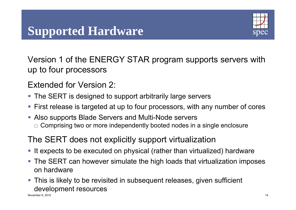# **Supported Hardware**



Version 1 of the ENERGY STAR program supports servers with up to four processors

Extended for Version 2:

- The SERT is designed to support arbitrarily large servers
- First release is targeted at up to four processors, with any number of cores
- Also supports Blade Servers and Multi-Node servers
	- $\Box$  Comprising two or more independently booted nodes in a single enclosure

### The SERT does not explicitly support virtualization

- If expects to be executed on physical (rather than virtualized) hardware
- The SERT can however simulate the high loads that virtualization imposes on hardware
- **This is likely to be revisited in subsequent releases, given sufficient** development resources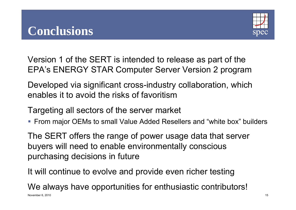

Version 1 of the SERT is intended to release as part of the EPA's ENERGY STAR Computer Server Version 2 program

Developed via significant cross-industry collaboration, which enables it to avoid the risks of favoritism

Targeting all sectors of the server market

■ From major OEMs to small Value Added Resellers and "white box" builders

The SERT offers the range of power usage data that server buyers will need to enable environmentally conscious purchasing decisions in future

It will continue to evolve and provide even richer testing

We always have opportunities for enthusiastic contributors! November 6, 2010 15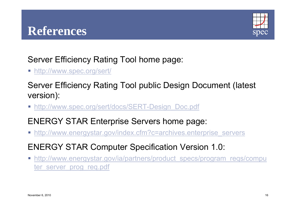

Server Efficiency Rating Tool home page:

■ <u>http://www.spec.org/sert/</u>

Server Efficiency Rating Tool public Design Document (latest version):

■ <u>http://www.spec.org/sert/docs/SERT-Design\_Doc.pdf</u>

### ENERGY STAR Enterprise Servers home page:

- http://www.energystar.gov/index.cfm?c=archives.enterprise\_servers
- ENERGY STAR Computer Specification Version 1.0:
- http://www.energystar.gov/ia/partners/product\_specs/program\_reqs/compu ter server prog\_req.pdf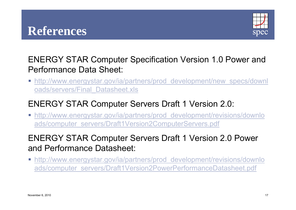## **References**



#### ENERGY STAR Computer Specification Version 1.0 Power and Performance Data Sheet:

 $\overline{\phantom{a}}$ http://www.energystar.gov/ia/partners/prod development/new specs/downl oads/servers/Final\_Datasheet.xls

#### **ENERGY STAR Computer Servers Draft 1 Version 2.0:**

 http://www.energystar.gov/ia/partners/prod\_development/revisions/downlo ads/computer\_servers/Draft1Version2ComputerServers.pdf

### ENERGY STAR Computer Servers Draft 1 Version 2.0 Power and Performance Datasheet:

 http://www.energystar.gov/ia/partners/prod\_development/revisions/downlo ads/computer\_servers/Draft1Version2PowerPerformanceDatasheet.pdf